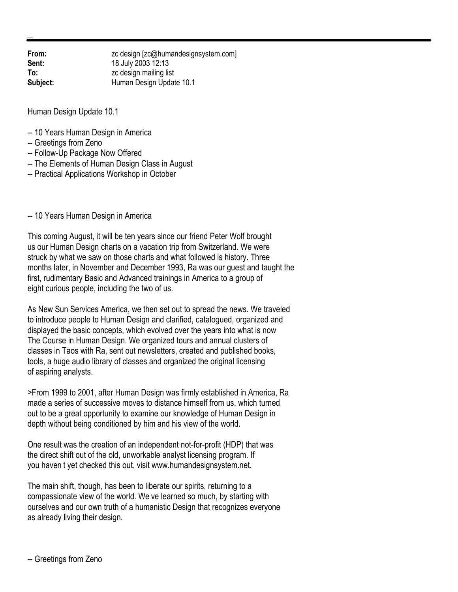**From:** zc design [zc@humandesignsystem.com]<br> **Sent:** 18 July 2003 12:13 **Sent:** 18 July 2003 12:13 **To:** zc design mailing list **Subject:** Human Design Update 10.1

Human Design Update 10.1

- -- 10 Years Human Design in America
- -- Greetings from Zeno
- -- Follow-Up Package Now Offered
- -- The Elements of Human Design Class in August
- -- Practical Applications Workshop in October

-- 10 Years Human Design in America

This coming August, it will be ten years since our friend Peter Wolf brought us our Human Design charts on a vacation trip from Switzerland. We were struck by what we saw on those charts and what followed is history. Three months later, in November and December 1993, Ra was our guest and taught the first, rudimentary Basic and Advanced trainings in America to a group of eight curious people, including the two of us.

As New Sun Services America, we then set out to spread the news. We traveled to introduce people to Human Design and clarified, catalogued, organized and displayed the basic concepts, which evolved over the years into what is now The Course in Human Design. We organized tours and annual clusters of classes in Taos with Ra, sent out newsletters, created and published books, tools, a huge audio library of classes and organized the original licensing of aspiring analysts.

>From 1999 to 2001, after Human Design was firmly established in America, Ra made a series of successive moves to distance himself from us, which turned out to be a great opportunity to examine our knowledge of Human Design in depth without being conditioned by him and his view of the world.

One result was the creation of an independent not-for-profit (HDP) that was the direct shift out of the old, unworkable analyst licensing program. If you haven't yet checked this out, visit www.humandesignsystem.net.

The main shift, though, has been to liberate our spirits, returning to a compassionate view of the world. We ve learned so much, by starting with ourselves and our own truth of a humanistic Design that recognizes everyone as already living their design.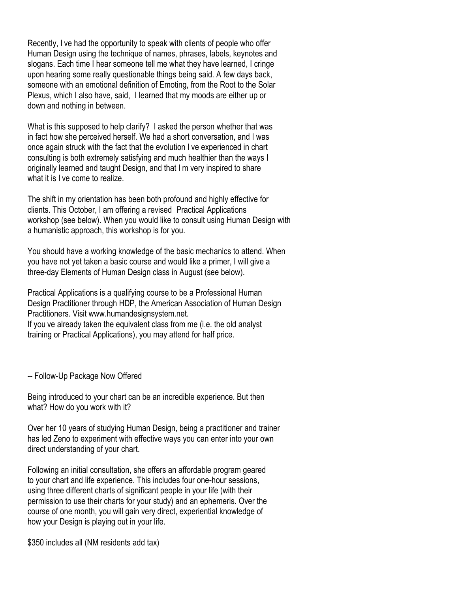Recently, I've had the opportunity to speak with clients of people who offer Human Design using the technique of names, phrases, labels, keynotes and slogans. Each time I hear someone tell me what they have learned, I cringe upon hearing some really questionable things being said. A few days back, someone with an emotional definition of Emoting, from the Root to the Solar Plexus, which I also have, said. I learned that my moods are either up or down and nothing in between.

What is this supposed to help clarify? I asked the person whether that was in fact how she perceived herself. We had a short conversation, and I was once again struck with the fact that the evolution I ve experienced in chart consulting is both extremely satisfying and much healthier than the ways I originally learned and taught Design, and that I'm very inspired to share what it is I ve come to realize.

The shift in my orientation has been both profound and highly effective for clients. This October, I am offering a revised Practical Applications workshop (see below). When you would like to consult using Human Design with a humanistic approach, this workshop is for you.

You should have a working knowledge of the basic mechanics to attend. When you have not yet taken a basic course and would like a primer, I will give a three-day Elements of Human Design class in August (see below).

Practical Applications is a qualifying course to be a Professional Human Design Practitioner through HDP, the American Association of Human Design Practitioners. Visit www.humandesignsystem.net. If you ve already taken the equivalent class from me (i.e. the old analyst training or Practical Applications), you may attend for half price.

-- Follow-Up Package Now Offered

Being introduced to your chart can be an incredible experience. But then what? How do you work with it?

Over her 10 years of studying Human Design, being a practitioner and trainer has led Zeno to experiment with effective ways you can enter into your own direct understanding of your chart.

Following an initial consultation, she offers an affordable program geared to your chart and life experience. This includes four one-hour sessions, using three different charts of significant people in your life (with their permission to use their charts for your study) and an ephemeris. Over the course of one month, you will gain very direct, experiential knowledge of how your Design is playing out in your life.

\$350 includes all (NM residents add tax)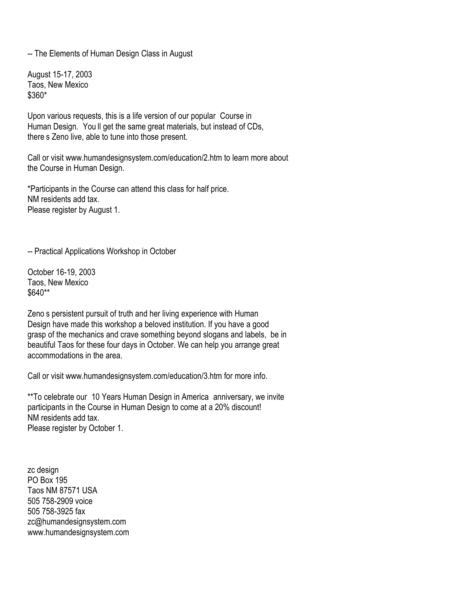-- The Elements of Human Design Class in August

August 15-17, 2003 Taos, New Mexico \$360\*

Upon various requests, this is a life version of our popular Course in Human Design. You II get the same great materials, but instead of CDs, there s Zeno live, able to tune into those present.

Call or visit www.humandesignsystem.com/education/2.htm to learn more about the Course in Human Design.

\*Participants in the Course can attend this class for half price. NM residents add tax. Please register by August 1.

-- Practical Applications Workshop in October

October 16-19, 2003 Taos, New Mexico \$640\*\*

Zeno's persistent pursuit of truth and her living experience with Human Design have made this workshop a beloved institution. If you have a good grasp of the mechanics and crave something beyond slogans and labels, be in beautiful Taos for these four days in October. We can help you arrange great accommodations in the area.

Call or visit www.humandesignsystem.com/education/3.htm for more info.

\*\*To celebrate our 10 Years Human Design in America anniversary, we invite participants in the Course in Human Design to come at a 20% discount! NM residents add tax. Please register by October 1.

zc design PO Box 195 Taos NM 87571 USA 505 758-2909 voice 505 758-3925 fax zc@humandesignsystem.com www.humandesignsystem.com